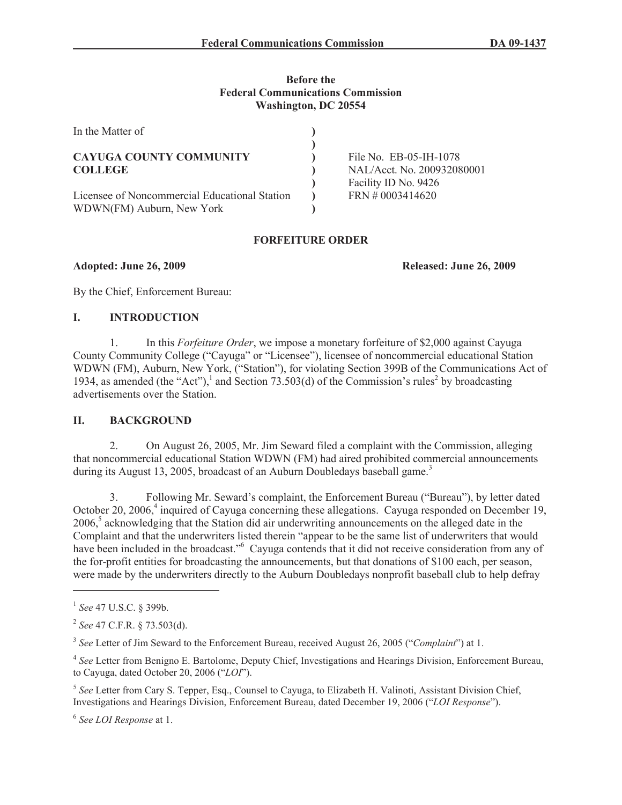### **Before the Federal Communications Commission Washington, DC 20554**

| In the Matter of                              |                            |
|-----------------------------------------------|----------------------------|
|                                               |                            |
| <b>CAYUGA COUNTY COMMUNITY</b>                | File No. EB-05-IH-1078     |
| <b>COLLEGE</b>                                | NAL/Acct. No. 200932080001 |
|                                               | Facility ID No. 9426       |
| Licensee of Noncommercial Educational Station | $FRN \neq 0003414620$      |
| WDWN(FM) Auburn, New York                     |                            |

### **FORFEITURE ORDER**

**Adopted: June 26, 2009 Released: June 26, 2009**

By the Chief, Enforcement Bureau:

### **I. INTRODUCTION**

1. In this *Forfeiture Order*, we impose a monetary forfeiture of \$2,000 against Cayuga County Community College ("Cayuga" or "Licensee"), licensee of noncommercial educational Station WDWN (FM), Auburn, New York, ("Station"), for violating Section 399B of the Communications Act of 1934, as amended (the "Act"),<sup>1</sup> and Section 73.503(d) of the Commission's rules<sup>2</sup> by broadcasting advertisements over the Station.

# **II. BACKGROUND**

2. On August 26, 2005, Mr. Jim Seward filed a complaint with the Commission, alleging that noncommercial educational Station WDWN (FM) had aired prohibited commercial announcements during its August 13, 2005, broadcast of an Auburn Doubledays baseball game.<sup>3</sup>

3. Following Mr. Seward's complaint, the Enforcement Bureau ("Bureau"), by letter dated October 20, 2006,<sup>4</sup> inquired of Cayuga concerning these allegations. Cayuga responded on December 19, 2006,<sup>5</sup> acknowledging that the Station did air underwriting announcements on the alleged date in the Complaint and that the underwriters listed therein "appear to be the same list of underwriters that would have been included in the broadcast."<sup>6</sup> Cayuga contends that it did not receive consideration from any of the for-profit entities for broadcasting the announcements, but that donations of \$100 each, per season, were made by the underwriters directly to the Auburn Doubledays nonprofit baseball club to help defray

4 *See* Letter from Benigno E. Bartolome, Deputy Chief, Investigations and Hearings Division, Enforcement Bureau, to Cayuga, dated October 20, 2006 ("*LOI*").

<sup>5</sup> See Letter from Cary S. Tepper, Esq., Counsel to Cayuga, to Elizabeth H. Valinoti, Assistant Division Chief, Investigations and Hearings Division, Enforcement Bureau, dated December 19, 2006 ("*LOI Response*").

6 *See LOI Response* at 1.

<sup>1</sup> *See* 47 U.S.C. § 399b.

<sup>2</sup> *See* 47 C.F.R. § 73.503(d).

<sup>3</sup> *See* Letter of Jim Seward to the Enforcement Bureau, received August 26, 2005 ("*Complaint*") at 1.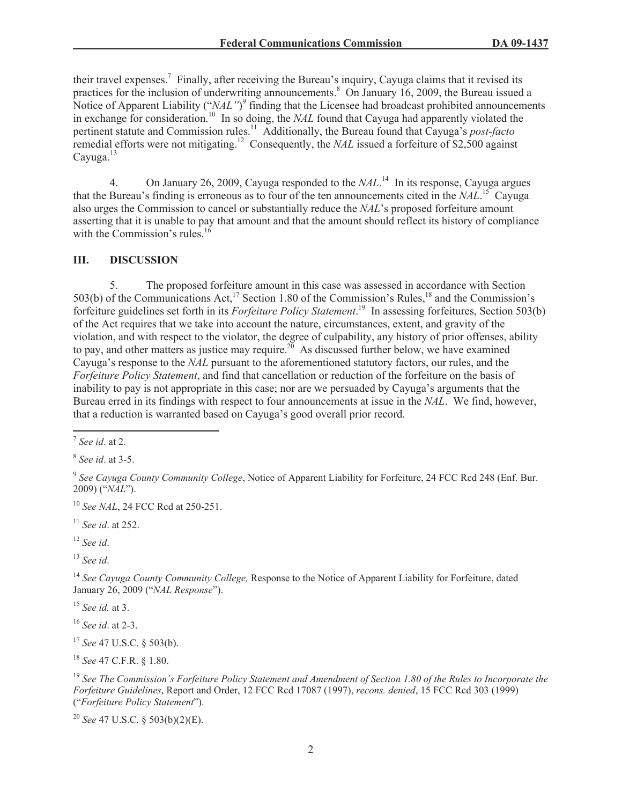their travel expenses.<sup>7</sup> Finally, after receiving the Bureau's inquiry, Cayuga claims that it revised its practices for the inclusion of underwriting announcements.<sup>8</sup> On January 16, 2009, the Bureau issued a Notice of Apparent Liability ("*NAL*")<sup>9</sup> finding that the Licensee had broadcast prohibited announcements in exchange for consideration.<sup>10</sup> In so doing, the *NAL* found that Cayuga had apparently violated the pertinent statute and Commission rules.<sup>11</sup> Additionally, the Bureau found that Cayuga's *post-facto* remedial efforts were not mitigating.<sup>12</sup> Consequently, the *NAL* issued a forfeiture of \$2,500 against Cayuga.<sup>13</sup>

4. On January 26, 2009, Cayuga responded to the *NAL*. <sup>14</sup> In its response, Cayuga argues that the Bureau's finding is erroneous as to four of the ten announcements cited in the *NAL*. <sup>15</sup> Cayuga also urges the Commission to cancel or substantially reduce the *NAL*'s proposed forfeiture amount asserting that it is unable to pay that amount and that the amount should reflect its history of compliance with the Commission's rules. $16$ 

#### **III. DISCUSSION**

5. The proposed forfeiture amount in this case was assessed in accordance with Section 503(b) of the Communications Act,<sup>17</sup> Section 1.80 of the Commission's Rules,<sup>18</sup> and the Commission's forfeiture guidelines set forth in its *Forfeiture Policy Statement*. <sup>19</sup> In assessing forfeitures, Section 503(b) of the Act requires that we take into account the nature, circumstances, extent, and gravity of the violation, and with respect to the violator, the degree of culpability, any history of prior offenses, ability to pay, and other matters as justice may require.<sup>20</sup> As discussed further below, we have examined Cayuga's response to the *NAL* pursuant to the aforementioned statutory factors, our rules, and the *Forfeiture Policy Statement*, and find that cancellation or reduction of the forfeiture on the basis of inability to pay is not appropriate in this case; nor are we persuaded by Cayuga's arguments that the Bureau erred in its findings with respect to four announcements at issue in the *NAL*. We find, however, that a reduction is warranted based on Cayuga's good overall prior record.

<sup>10</sup> *See NAL*, 24 FCC Rcd at 250-251.

<sup>11</sup> *See id*. at 252.

<sup>12</sup> *See id*.

<sup>13</sup> *See id*.

<sup>14</sup> *See Cayuga County Community College,* Response to the Notice of Apparent Liability for Forfeiture, dated January 26, 2009 ("*NAL Response*").

<sup>15</sup> *See id.* at 3.

<sup>16</sup> *See id*. at 2-3.

<sup>17</sup> *See* 47 U.S.C. § 503(b).

<sup>18</sup> *See* 47 C.F.R. § 1.80.

<sup>19</sup> *See The Commission's Forfeiture Policy Statement and Amendment of Section 1.80 of the Rules to Incorporate the Forfeiture Guidelines*, Report and Order, 12 FCC Rcd 17087 (1997), *recons. denied*, 15 FCC Rcd 303 (1999) ("*Forfeiture Policy Statement*").

<sup>20</sup> *See* 47 U.S.C. § 503(b)(2)(E).

<sup>7</sup> *See id*. at 2.

<sup>8</sup> *See id*. at 3-5.

<sup>9</sup> *See Cayuga County Community College*, Notice of Apparent Liability for Forfeiture, 24 FCC Rcd 248 (Enf. Bur. 2009) ("*NAL*").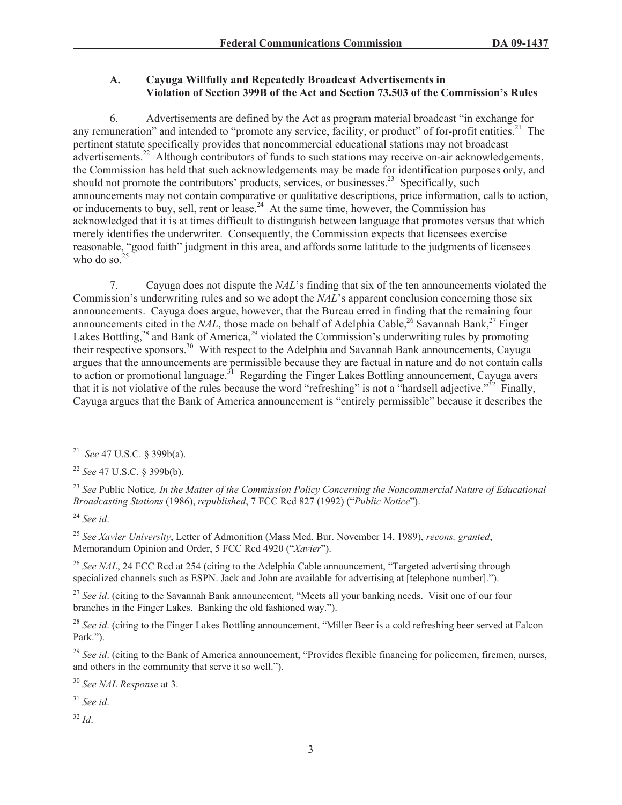# **A. Cayuga Willfully and Repeatedly Broadcast Advertisements in Violation of Section 399B of the Act and Section 73.503 of the Commission's Rules**

6. Advertisements are defined by the Act as program material broadcast "in exchange for any remuneration" and intended to "promote any service, facility, or product" of for-profit entities.<sup>21</sup> The pertinent statute specifically provides that noncommercial educational stations may not broadcast advertisements.<sup>22</sup> Although contributors of funds to such stations may receive on-air acknowledgements, the Commission has held that such acknowledgements may be made for identification purposes only, and should not promote the contributors' products, services, or businesses.<sup>23</sup> Specifically, such announcements may not contain comparative or qualitative descriptions, price information, calls to action, or inducements to buy, sell, rent or lease.<sup>24</sup> At the same time, however, the Commission has acknowledged that it is at times difficult to distinguish between language that promotes versus that which merely identifies the underwriter. Consequently, the Commission expects that licensees exercise reasonable, "good faith" judgment in this area, and affords some latitude to the judgments of licensees who do so. $<sup>2</sup>$ </sup>

7. Cayuga does not dispute the *NAL*'s finding that six of the ten announcements violated the Commission's underwriting rules and so we adopt the *NAL*'s apparent conclusion concerning those six announcements. Cayuga does argue, however, that the Bureau erred in finding that the remaining four announcements cited in the *NAL*, those made on behalf of Adelphia Cable,<sup>26</sup> Savannah Bank,<sup>27</sup> Finger Lakes Bottling,<sup>28</sup> and Bank of America,<sup>29</sup> violated the Commission's underwriting rules by promoting their respective sponsors.<sup>30</sup> With respect to the Adelphia and Savannah Bank announcements, Cayuga argues that the announcements are permissible because they are factual in nature and do not contain calls to action or promotional language.<sup>31</sup> Regarding the Finger Lakes Bottling announcement, Cayuga avers that it is not violative of the rules because the word "refreshing" is not a "hardsell adjective." $32$  Finally, Cayuga argues that the Bank of America announcement is "entirely permissible" because it describes the

<sup>22</sup> *See* 47 U.S.C. § 399b(b).

<sup>23</sup> *See* Public Notice*, In the Matter of the Commission Policy Concerning the Noncommercial Nature of Educational Broadcasting Stations* (1986), *republished*, 7 FCC Rcd 827 (1992) ("*Public Notice*").

<sup>24</sup> *See id*.

<sup>25</sup> *See Xavier University*, Letter of Admonition (Mass Med. Bur. November 14, 1989), *recons. granted*, Memorandum Opinion and Order, 5 FCC Rcd 4920 ("*Xavier*").

<sup>26</sup> See NAL, 24 FCC Rcd at 254 (citing to the Adelphia Cable announcement, "Targeted advertising through specialized channels such as ESPN. Jack and John are available for advertising at [telephone number].").

<sup>27</sup> See id. (citing to the Savannah Bank announcement, "Meets all your banking needs. Visit one of our four branches in the Finger Lakes. Banking the old fashioned way.").

<sup>28</sup> See id. (citing to the Finger Lakes Bottling announcement, "Miller Beer is a cold refreshing beer served at Falcon Park.").

<sup>29</sup> See id. (citing to the Bank of America announcement, "Provides flexible financing for policemen, firemen, nurses, and others in the community that serve it so well.").

<sup>30</sup> *See NAL Response* at 3.

<sup>31</sup> *See id*.

<sup>32</sup> *Id*.

<sup>21</sup> *See* 47 U.S.C. § 399b(a).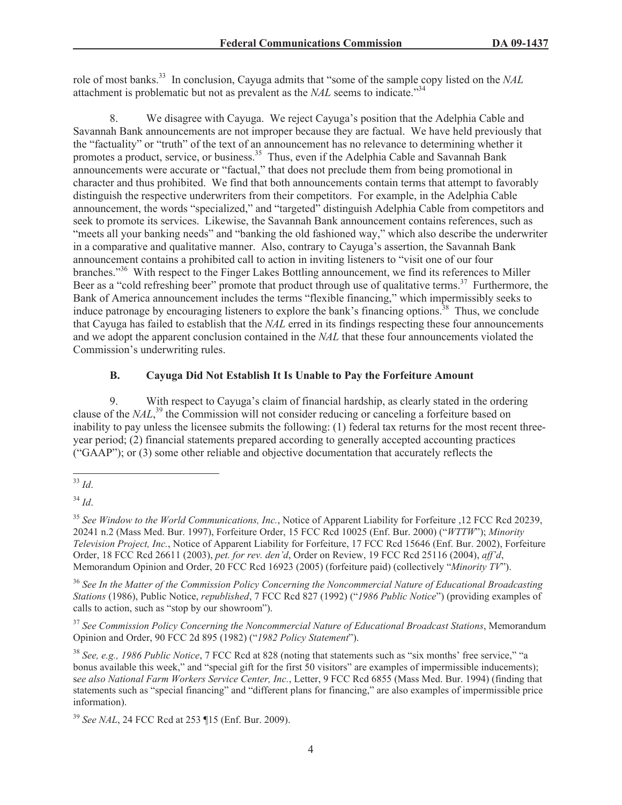role of most banks.<sup>33</sup> In conclusion, Cayuga admits that "some of the sample copy listed on the *NAL* attachment is problematic but not as prevalent as the *NAL* seems to indicate."<sup>34</sup>

8. We disagree with Cayuga. We reject Cayuga's position that the Adelphia Cable and Savannah Bank announcements are not improper because they are factual. We have held previously that the "factuality" or "truth" of the text of an announcement has no relevance to determining whether it promotes a product, service, or business.<sup>35</sup> Thus, even if the Adelphia Cable and Savannah Bank announcements were accurate or "factual," that does not preclude them from being promotional in character and thus prohibited. We find that both announcements contain terms that attempt to favorably distinguish the respective underwriters from their competitors. For example, in the Adelphia Cable announcement, the words "specialized," and "targeted" distinguish Adelphia Cable from competitors and seek to promote its services. Likewise, the Savannah Bank announcement contains references, such as "meets all your banking needs" and "banking the old fashioned way," which also describe the underwriter in a comparative and qualitative manner. Also, contrary to Cayuga's assertion, the Savannah Bank announcement contains a prohibited call to action in inviting listeners to "visit one of our four branches."<sup>36</sup> With respect to the Finger Lakes Bottling announcement, we find its references to Miller Beer as a "cold refreshing beer" promote that product through use of qualitative terms.<sup>37</sup> Furthermore, the Bank of America announcement includes the terms "flexible financing," which impermissibly seeks to induce patronage by encouraging listeners to explore the bank's financing options.<sup>38</sup> Thus, we conclude that Cayuga has failed to establish that the *NAL* erred in its findings respecting these four announcements and we adopt the apparent conclusion contained in the *NAL* that these four announcements violated the Commission's underwriting rules.

# **B. Cayuga Did Not Establish It Is Unable to Pay the Forfeiture Amount**

9. With respect to Cayuga's claim of financial hardship, as clearly stated in the ordering clause of the *NAL*,<sup>39</sup> the Commission will not consider reducing or canceling a forfeiture based on inability to pay unless the licensee submits the following: (1) federal tax returns for the most recent threeyear period; (2) financial statements prepared according to generally accepted accounting practices ("GAAP"); or (3) some other reliable and objective documentation that accurately reflects the

<sup>37</sup> *See Commission Policy Concerning the Noncommercial Nature of Educational Broadcast Stations*, Memorandum Opinion and Order, 90 FCC 2d 895 (1982) ("*1982 Policy Statement*").

<sup>38</sup> *See, e.g., 1986 Public Notice*, 7 FCC Rcd at 828 (noting that statements such as "six months' free service," "a bonus available this week," and "special gift for the first 50 visitors" are examples of impermissible inducements); s*ee also National Farm Workers Service Center, Inc.*, Letter, 9 FCC Rcd 6855 (Mass Med. Bur. 1994) (finding that statements such as "special financing" and "different plans for financing," are also examples of impermissible price information).

<sup>33</sup> *Id*.

<sup>34</sup> *Id*.

<sup>35</sup> *See Window to the World Communications, Inc.*, Notice of Apparent Liability for Forfeiture ,12 FCC Rcd 20239, 20241 n.2 (Mass Med. Bur. 1997), Forfeiture Order, 15 FCC Rcd 10025 (Enf. Bur. 2000) ("*WTTW*"); *Minority Television Project, Inc.*, Notice of Apparent Liability for Forfeiture, 17 FCC Rcd 15646 (Enf. Bur. 2002), Forfeiture Order, 18 FCC Rcd 26611 (2003), *pet. for rev. den'd*, Order on Review, 19 FCC Rcd 25116 (2004), *aff'd*, Memorandum Opinion and Order, 20 FCC Rcd 16923 (2005) (forfeiture paid) (collectively "*Minority TV*").

<sup>36</sup> *See In the Matter of the Commission Policy Concerning the Noncommercial Nature of Educational Broadcasting Stations* (1986), Public Notice, *republished*, 7 FCC Rcd 827 (1992) ("*1986 Public Notice*") (providing examples of calls to action, such as "stop by our showroom").

<sup>39</sup> *See NAL*, 24 FCC Rcd at 253 ¶15 (Enf. Bur. 2009).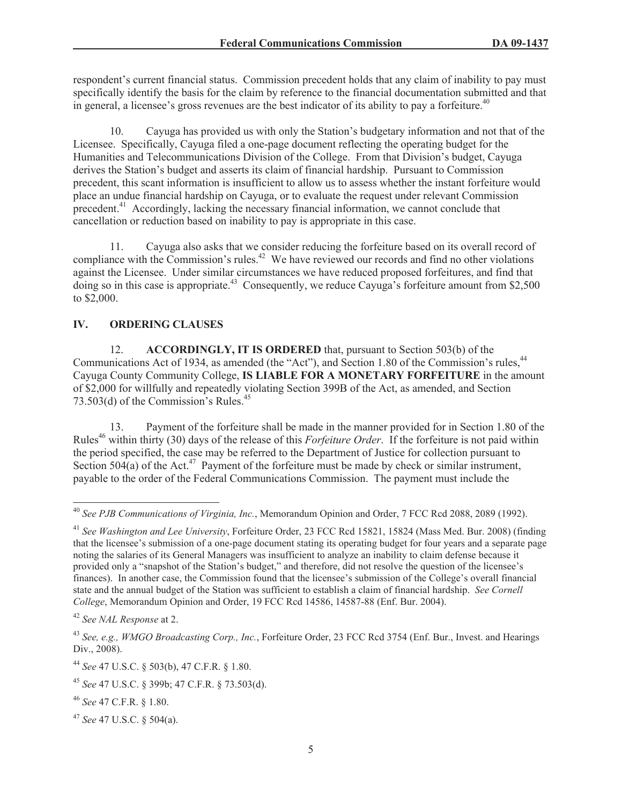respondent's current financial status. Commission precedent holds that any claim of inability to pay must specifically identify the basis for the claim by reference to the financial documentation submitted and that in general, a licensee's gross revenues are the best indicator of its ability to pay a forfeiture.<sup>40</sup>

10. Cayuga has provided us with only the Station's budgetary information and not that of the Licensee. Specifically, Cayuga filed a one-page document reflecting the operating budget for the Humanities and Telecommunications Division of the College. From that Division's budget, Cayuga derives the Station's budget and asserts its claim of financial hardship. Pursuant to Commission precedent, this scant information is insufficient to allow us to assess whether the instant forfeiture would place an undue financial hardship on Cayuga, or to evaluate the request under relevant Commission precedent.<sup>41</sup> Accordingly, lacking the necessary financial information, we cannot conclude that cancellation or reduction based on inability to pay is appropriate in this case.

11. Cayuga also asks that we consider reducing the forfeiture based on its overall record of compliance with the Commission's rules.<sup>42</sup> We have reviewed our records and find no other violations against the Licensee. Under similar circumstances we have reduced proposed forfeitures, and find that doing so in this case is appropriate.<sup>43</sup> Consequently, we reduce Cayuga's forfeiture amount from \$2,500 to \$2,000.

# **IV. ORDERING CLAUSES**

12. **ACCORDINGLY, IT IS ORDERED** that, pursuant to Section 503(b) of the Communications Act of 1934, as amended (the "Act"), and Section 1.80 of the Commission's rules,<sup>44</sup> Cayuga County Community College, **IS LIABLE FOR A MONETARY FORFEITURE** in the amount of \$2,000 for willfully and repeatedly violating Section 399B of the Act, as amended, and Section 73.503(d) of the Commission's Rules. $45$ 

13. Payment of the forfeiture shall be made in the manner provided for in Section 1.80 of the Rules<sup>46</sup> within thirty (30) days of the release of this *Forfeiture Order*. If the forfeiture is not paid within the period specified, the case may be referred to the Department of Justice for collection pursuant to Section 504(a) of the Act.<sup>47</sup> Payment of the forfeiture must be made by check or similar instrument, payable to the order of the Federal Communications Commission. The payment must include the

<sup>40</sup> *See PJB Communications of Virginia, Inc.*, Memorandum Opinion and Order, 7 FCC Rcd 2088, 2089 (1992).

<sup>41</sup> *See Washington and Lee University*, Forfeiture Order, 23 FCC Rcd 15821, 15824 (Mass Med. Bur. 2008) (finding that the licensee's submission of a one-page document stating its operating budget for four years and a separate page noting the salaries of its General Managers was insufficient to analyze an inability to claim defense because it provided only a "snapshot of the Station's budget," and therefore, did not resolve the question of the licensee's finances). In another case, the Commission found that the licensee's submission of the College's overall financial state and the annual budget of the Station was sufficient to establish a claim of financial hardship. *See Cornell College*, Memorandum Opinion and Order, 19 FCC Rcd 14586, 14587-88 (Enf. Bur. 2004).

<sup>42</sup> *See NAL Response* at 2.

<sup>43</sup> *See, e.g., WMGO Broadcasting Corp., Inc.*, Forfeiture Order, 23 FCC Rcd 3754 (Enf. Bur., Invest. and Hearings Div., 2008).

<sup>44</sup> *See* 47 U.S.C. § 503(b), 47 C.F.R. § 1.80.

<sup>45</sup> *See* 47 U.S.C. § 399b; 47 C.F.R. § 73.503(d).

<sup>46</sup> *See* 47 C.F.R. § 1.80.

<sup>47</sup> *See* 47 U.S.C. § 504(a).